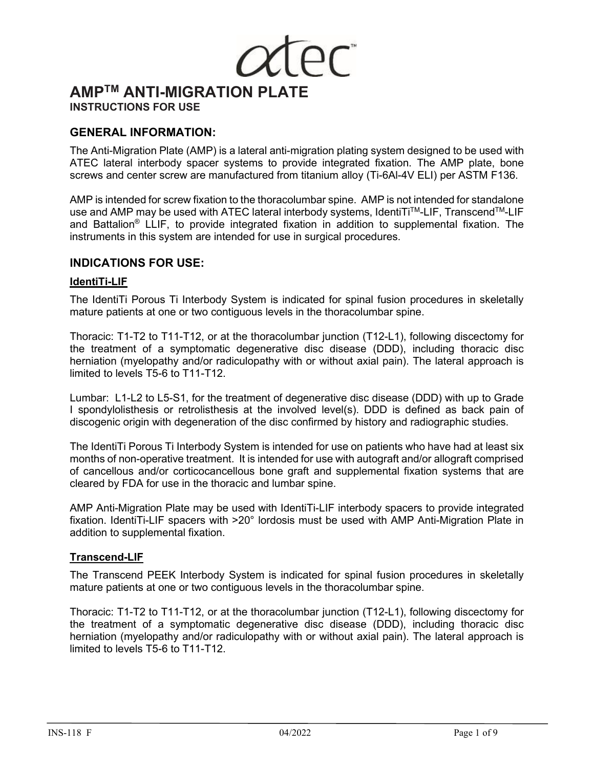# **AMPTM ANTI-MIGRATION PLATE INSTRUCTIONS FOR USE**

# **GENERAL INFORMATION:**

The Anti-Migration Plate (AMP) is a lateral anti-migration plating system designed to be used with ATEC lateral interbody spacer systems to provide integrated fixation. The AMP plate, bone screws and center screw are manufactured from titanium alloy (Ti-6Al-4V ELI) per ASTM F136.

AMP is intended for screw fixation to the thoracolumbar spine.AMP is not intended for standalone use and AMP may be used with ATEC lateral interbody systems, IdentiTi™-LIF, Transcend™-LIF and Battalion® LLIF, to provide integrated fixation in addition to supplemental fixation. The instruments in this system are intended for use in surgical procedures.

# **INDICATIONS FOR USE:**

## **IdentiTi-LIF**

The IdentiTi Porous Ti Interbody System is indicated for spinal fusion procedures in skeletally mature patients at one or two contiguous levels in the thoracolumbar spine.

Thoracic: T1-T2 to T11-T12, or at the thoracolumbar junction (T12-L1), following discectomy for the treatment of a symptomatic degenerative disc disease (DDD), including thoracic disc herniation (myelopathy and/or radiculopathy with or without axial pain). The lateral approach is limited to levels T5-6 to T11-T12.

Lumbar: L1-L2 to L5-S1, for the treatment of degenerative disc disease (DDD) with up to Grade I spondylolisthesis or retrolisthesis at the involved level(s). DDD is defined as back pain of discogenic origin with degeneration of the disc confirmed by history and radiographic studies.

The IdentiTi Porous Ti Interbody System is intended for use on patients who have had at least six months of non-operative treatment. It is intended for use with autograft and/or allograft comprised of cancellous and/or corticocancellous bone graft and supplemental fixation systems that are cleared by FDA for use in the thoracic and lumbar spine.

AMP Anti-Migration Plate may be used with IdentiTi-LIF interbody spacers to provide integrated fixation. IdentiTi-LIF spacers with >20° lordosis must be used with AMP Anti-Migration Plate in addition to supplemental fixation.

# **Transcend-LIF**

The Transcend PEEK Interbody System is indicated for spinal fusion procedures in skeletally mature patients at one or two contiguous levels in the thoracolumbar spine.

Thoracic: T1-T2 to T11-T12, or at the thoracolumbar junction (T12-L1), following discectomy for the treatment of a symptomatic degenerative disc disease (DDD), including thoracic disc herniation (myelopathy and/or radiculopathy with or without axial pain). The lateral approach is limited to levels T5-6 to T11-T12.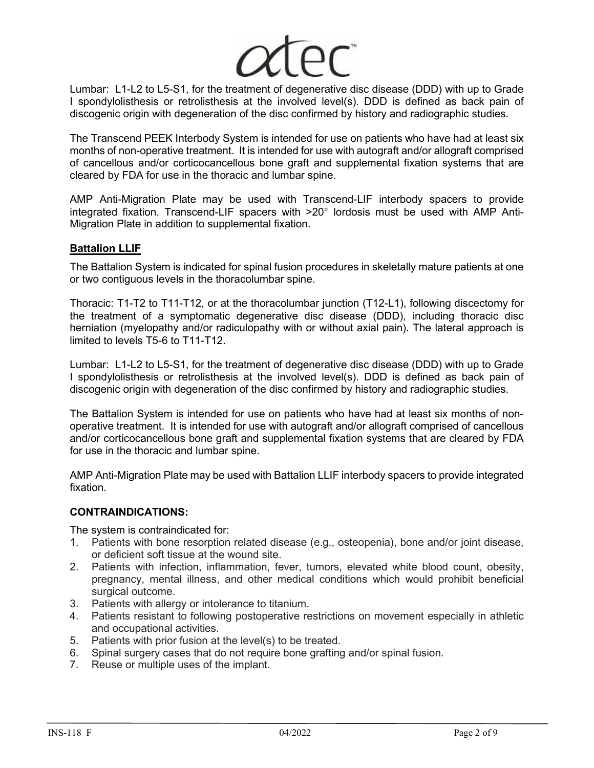

Lumbar: L1-L2 to L5-S1, for the treatment of degenerative disc disease (DDD) with up to Grade I spondylolisthesis or retrolisthesis at the involved level(s). DDD is defined as back pain of discogenic origin with degeneration of the disc confirmed by history and radiographic studies.

The Transcend PEEK Interbody System is intended for use on patients who have had at least six months of non-operative treatment. It is intended for use with autograft and/or allograft comprised of cancellous and/or corticocancellous bone graft and supplemental fixation systems that are cleared by FDA for use in the thoracic and lumbar spine.

AMP Anti-Migration Plate may be used with Transcend-LIF interbody spacers to provide integrated fixation. Transcend-LIF spacers with >20° lordosis must be used with AMP Anti-Migration Plate in addition to supplemental fixation.

# **Battalion LLIF**

The Battalion System is indicated for spinal fusion procedures in skeletally mature patients at one or two contiguous levels in the thoracolumbar spine.

Thoracic: T1-T2 to T11-T12, or at the thoracolumbar junction (T12-L1), following discectomy for the treatment of a symptomatic degenerative disc disease (DDD), including thoracic disc herniation (myelopathy and/or radiculopathy with or without axial pain). The lateral approach is limited to levels T5-6 to T11-T12.

Lumbar: L1-L2 to L5-S1, for the treatment of degenerative disc disease (DDD) with up to Grade I spondylolisthesis or retrolisthesis at the involved level(s). DDD is defined as back pain of discogenic origin with degeneration of the disc confirmed by history and radiographic studies.

The Battalion System is intended for use on patients who have had at least six months of nonoperative treatment. It is intended for use with autograft and/or allograft comprised of cancellous and/or corticocancellous bone graft and supplemental fixation systems that are cleared by FDA for use in the thoracic and lumbar spine.

AMP Anti-Migration Plate may be used with Battalion LLIF interbody spacers to provide integrated fixation.

# **CONTRAINDICATIONS:**

The system is contraindicated for:

- 1. Patients with bone resorption related disease (e.g., osteopenia), bone and/or joint disease, or deficient soft tissue at the wound site.
- 2. Patients with infection, inflammation, fever, tumors, elevated white blood count, obesity, pregnancy, mental illness, and other medical conditions which would prohibit beneficial surgical outcome.
- 3. Patients with allergy or intolerance to titanium.
- 4. Patients resistant to following postoperative restrictions on movement especially in athletic and occupational activities.
- 5. Patients with prior fusion at the level(s) to be treated.
- 6. Spinal surgery cases that do not require bone grafting and/or spinal fusion.
- 7. Reuse or multiple uses of the implant.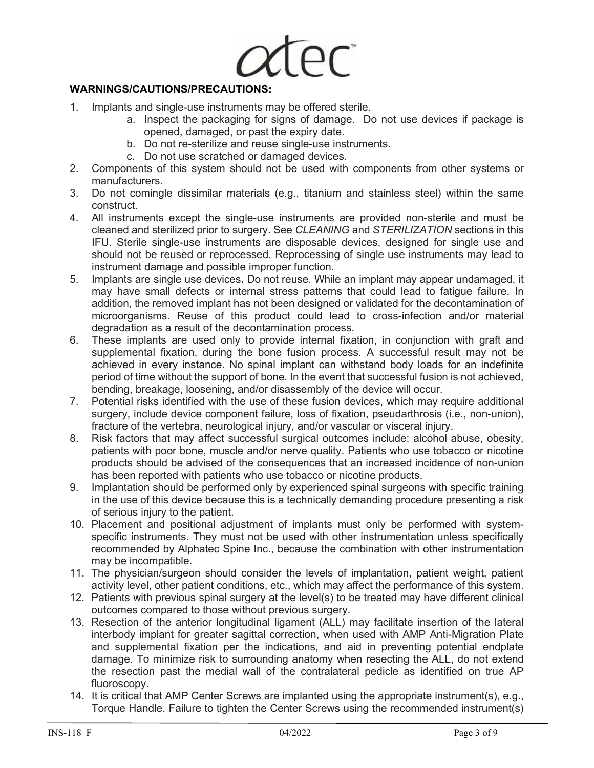

# **WARNINGS/CAUTIONS/PRECAUTIONS:**

- 1. Implants and single-use instruments may be offered sterile.
	- a. Inspect the packaging for signs of damage. Do not use devices if package is opened, damaged, or past the expiry date.
	- b. Do not re-sterilize and reuse single-use instruments.
	- c. Do not use scratched or damaged devices.
- 2. Components of this system should not be used with components from other systems or manufacturers.
- 3. Do not comingle dissimilar materials (e.g., titanium and stainless steel) within the same construct.
- 4. All instruments except the single-use instruments are provided non-sterile and must be cleaned and sterilized prior to surgery. See *CLEANING* and *STERILIZATION* sections in this IFU. Sterile single-use instruments are disposable devices, designed for single use and should not be reused or reprocessed. Reprocessing of single use instruments may lead to instrument damage and possible improper function.
- 5. Implants are single use devices**.** Do not reuse*.* While an implant may appear undamaged, it may have small defects or internal stress patterns that could lead to fatigue failure. In addition, the removed implant has not been designed or validated for the decontamination of microorganisms. Reuse of this product could lead to cross-infection and/or material degradation as a result of the decontamination process.
- 6. These implants are used only to provide internal fixation, in conjunction with graft and supplemental fixation, during the bone fusion process. A successful result may not be achieved in every instance. No spinal implant can withstand body loads for an indefinite period of time without the support of bone. In the event that successful fusion is not achieved, bending, breakage, loosening, and/or disassembly of the device will occur.
- 7. Potential risks identified with the use of these fusion devices, which may require additional surgery, include device component failure, loss of fixation, pseudarthrosis (i.e., non-union), fracture of the vertebra, neurological injury, and/or vascular or visceral injury.
- 8. Risk factors that may affect successful surgical outcomes include: alcohol abuse, obesity, patients with poor bone, muscle and/or nerve quality. Patients who use tobacco or nicotine products should be advised of the consequences that an increased incidence of non-union has been reported with patients who use tobacco or nicotine products.
- 9. Implantation should be performed only by experienced spinal surgeons with specific training in the use of this device because this is a technically demanding procedure presenting a risk of serious injury to the patient.
- 10. Placement and positional adjustment of implants must only be performed with systemspecific instruments. They must not be used with other instrumentation unless specifically recommended by Alphatec Spine Inc., because the combination with other instrumentation may be incompatible.
- 11. The physician/surgeon should consider the levels of implantation, patient weight, patient activity level, other patient conditions, etc., which may affect the performance of this system.
- 12. Patients with previous spinal surgery at the level(s) to be treated may have different clinical outcomes compared to those without previous surgery.
- 13. Resection of the anterior longitudinal ligament (ALL) may facilitate insertion of the lateral interbody implant for greater sagittal correction, when used with AMP Anti-Migration Plate and supplemental fixation per the indications, and aid in preventing potential endplate damage. To minimize risk to surrounding anatomy when resecting the ALL, do not extend the resection past the medial wall of the contralateral pedicle as identified on true AP fluoroscopy.
- 14. It is critical that AMP Center Screws are implanted using the appropriate instrument(s), e.g., Torque Handle. Failure to tighten the Center Screws using the recommended instrument(s)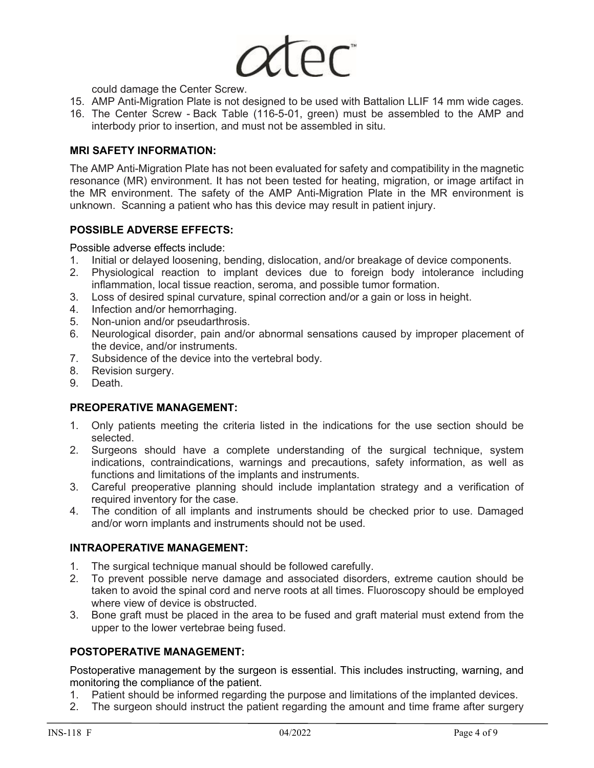$\overline{\rho}$ C

could damage the Center Screw.

- 15. AMP Anti-Migration Plate is not designed to be used with Battalion LLIF 14 mm wide cages.
- 16. The Center Screw Back Table (116-5-01, green) must be assembled to the AMP and interbody prior to insertion, and must not be assembled in situ.

# **MRI SAFETY INFORMATION:**

The AMP Anti-Migration Plate has not been evaluated for safety and compatibility in the magnetic resonance (MR) environment. It has not been tested for heating, migration, or image artifact in the MR environment. The safety of the AMP Anti-Migration Plate in the MR environment is unknown. Scanning a patient who has this device may result in patient injury.

# **POSSIBLE ADVERSE EFFECTS:**

Possible adverse effects include:

- 1. Initial or delayed loosening, bending, dislocation, and/or breakage of device components.
- 2. Physiological reaction to implant devices due to foreign body intolerance including inflammation, local tissue reaction, seroma, and possible tumor formation.
- 3. Loss of desired spinal curvature, spinal correction and/or a gain or loss in height.
- 4. Infection and/or hemorrhaging.<br>5. Non-union and/or pseudarthros
- Non-union and/or pseudarthrosis.
- 6. Neurological disorder, pain and/or abnormal sensations caused by improper placement of the device, and/or instruments.
- 7. Subsidence of the device into the vertebral body.
- 8. Revision surgery.
- 9. Death.

## **PREOPERATIVE MANAGEMENT:**

- 1. Only patients meeting the criteria listed in the indications for the use section should be selected.
- 2. Surgeons should have a complete understanding of the surgical technique, system indications, contraindications, warnings and precautions, safety information, as well as functions and limitations of the implants and instruments.
- 3. Careful preoperative planning should include implantation strategy and a verification of required inventory for the case.
- 4. The condition of all implants and instruments should be checked prior to use. Damaged and/or worn implants and instruments should not be used.

# **INTRAOPERATIVE MANAGEMENT:**

- 1. The surgical technique manual should be followed carefully.
- 2. To prevent possible nerve damage and associated disorders, extreme caution should be taken to avoid the spinal cord and nerve roots at all times. Fluoroscopy should be employed where view of device is obstructed.
- 3. Bone graft must be placed in the area to be fused and graft material must extend from the upper to the lower vertebrae being fused.

# **POSTOPERATIVE MANAGEMENT:**

Postoperative management by the surgeon is essential. This includes instructing, warning, and monitoring the compliance of the patient.

- 1. Patient should be informed regarding the purpose and limitations of the implanted devices.
- 2. The surgeon should instruct the patient regarding the amount and time frame after surgery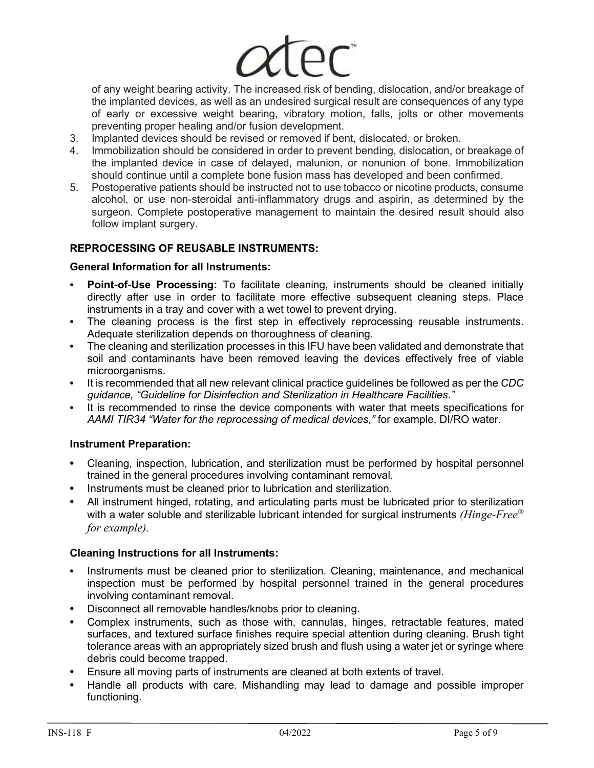of any weight bearing activity. The increased risk of bending, dislocation, and/or breakage of the implanted devices, as well as an undesired surgical result are consequences of any type of early or excessive weight bearing, vibratory motion, falls, jolts or other movements preventing proper healing and/or fusion development.

- 3. Implanted devices should be revised or removed if bent, dislocated, or broken.
- 4. Immobilization should be considered in order to prevent bending, dislocation, or breakage of the implanted device in case of delayed, malunion, or nonunion of bone. Immobilization should continue until a complete bone fusion mass has developed and been confirmed.
- 5. Postoperative patients should be instructed not to use tobacco or nicotine products, consume alcohol, or use non-steroidal anti-inflammatory drugs and aspirin, as determined by the surgeon. Complete postoperative management to maintain the desired result should also follow implant surgery.

# **REPROCESSING OF REUSABLE INSTRUMENTS:**

# **General Information for all Instruments:**

- **• Point-of-Use Processing:** To facilitate cleaning, instruments should be cleaned initially directly after use in order to facilitate more effective subsequent cleaning steps. Place instruments in a tray and cover with a wet towel to prevent drying.
- **•** The cleaning process is the first step in effectively reprocessing reusable instruments. Adequate sterilization depends on thoroughness of cleaning.
- **•** The cleaning and sterilization processes in this IFU have been validated and demonstrate that soil and contaminants have been removed leaving the devices effectively free of viable microorganisms.
- **•** It is recommended that all new relevant clinical practice guidelines be followed as per the *CDC guidance, "Guideline for Disinfection and Sterilization in Healthcare Facilities."*
- **•** It is recommended to rinse the device components with water that meets specifications for *AAMI TIR34 "Water for the reprocessing of medical devices,"* for example, DI/RO water.

# **Instrument Preparation:**

- **•** Cleaning, inspection, lubrication, and sterilization must be performed by hospital personnel trained in the general procedures involving contaminant removal.
- **•** Instruments must be cleaned prior to lubrication and sterilization.
- **•** All instrument hinged, rotating, and articulating parts must be lubricated prior to sterilization with a water soluble and sterilizable lubricant intended for surgical instruments *(Hinge-Free® for example).*

## **Cleaning Instructions for all Instruments:**

- **•** Instruments must be cleaned prior to sterilization. Cleaning, maintenance, and mechanical inspection must be performed by hospital personnel trained in the general procedures involving contaminant removal.
- **•** Disconnect all removable handles/knobs prior to cleaning.
- **•** Complex instruments, such as those with, cannulas, hinges, retractable features, mated surfaces, and textured surface finishes require special attention during cleaning. Brush tight tolerance areas with an appropriately sized brush and flush using a water jet or syringe where debris could become trapped.
- **•** Ensure all moving parts of instruments are cleaned at both extents of travel.
- **•** Handle all products with care. Mishandling may lead to damage and possible improper functioning.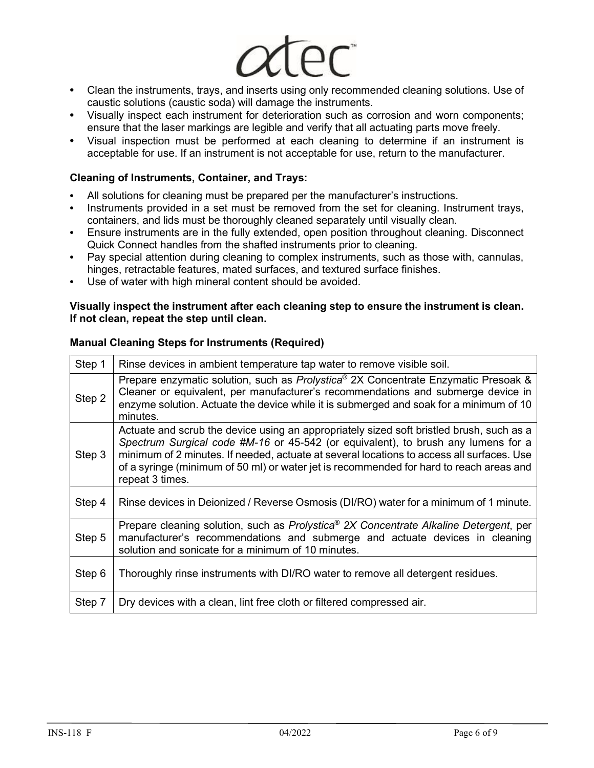- **•** Clean the instruments, trays, and inserts using only recommended cleaning solutions. Use of caustic solutions (caustic soda) will damage the instruments.
- **•** Visually inspect each instrument for deterioration such as corrosion and worn components; ensure that the laser markings are legible and verify that all actuating parts move freely.
- **•** Visual inspection must be performed at each cleaning to determine if an instrument is acceptable for use. If an instrument is not acceptable for use, return to the manufacturer.

# **Cleaning of Instruments, Container, and Trays:**

- **•** All solutions for cleaning must be prepared per the manufacturer's instructions.
- **•** Instruments provided in a set must be removed from the set for cleaning. Instrument trays, containers, and lids must be thoroughly cleaned separately until visually clean.
- **•** Ensure instruments are in the fully extended, open position throughout cleaning. Disconnect Quick Connect handles from the shafted instruments prior to cleaning.
- **•** Pay special attention during cleaning to complex instruments, such as those with, cannulas, hinges, retractable features, mated surfaces, and textured surface finishes.
- **•** Use of water with high mineral content should be avoided.

# **Visually inspect the instrument after each cleaning step to ensure the instrument is clean. If not clean, repeat the step until clean.**

| Step 1 | Rinse devices in ambient temperature tap water to remove visible soil.                                                                                                                                                                                                                                                                                                                   |
|--------|------------------------------------------------------------------------------------------------------------------------------------------------------------------------------------------------------------------------------------------------------------------------------------------------------------------------------------------------------------------------------------------|
| Step 2 | Prepare enzymatic solution, such as Prolystica® 2X Concentrate Enzymatic Presoak &<br>Cleaner or equivalent, per manufacturer's recommendations and submerge device in<br>enzyme solution. Actuate the device while it is submerged and soak for a minimum of 10<br>minutes.                                                                                                             |
| Step 3 | Actuate and scrub the device using an appropriately sized soft bristled brush, such as a<br>Spectrum Surgical code #M-16 or 45-542 (or equivalent), to brush any lumens for a<br>minimum of 2 minutes. If needed, actuate at several locations to access all surfaces. Use<br>of a syringe (minimum of 50 ml) or water jet is recommended for hard to reach areas and<br>repeat 3 times. |
| Step 4 | Rinse devices in Deionized / Reverse Osmosis (DI/RO) water for a minimum of 1 minute.                                                                                                                                                                                                                                                                                                    |
| Step 5 | Prepare cleaning solution, such as Prolystica® 2X Concentrate Alkaline Detergent, per<br>manufacturer's recommendations and submerge and actuate devices in cleaning<br>solution and sonicate for a minimum of 10 minutes.                                                                                                                                                               |
| Step 6 | Thoroughly rinse instruments with DI/RO water to remove all detergent residues.                                                                                                                                                                                                                                                                                                          |
| Step 7 | Dry devices with a clean, lint free cloth or filtered compressed air.                                                                                                                                                                                                                                                                                                                    |

# **Manual Cleaning Steps for Instruments (Required)**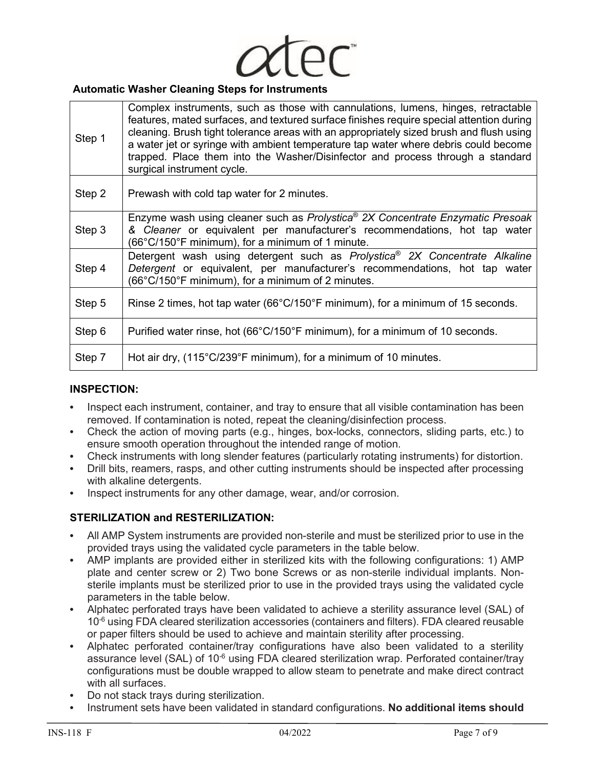

## **Automatic Washer Cleaning Steps for Instruments**

| Step 1 | Complex instruments, such as those with cannulations, lumens, hinges, retractable<br>features, mated surfaces, and textured surface finishes require special attention during<br>cleaning. Brush tight tolerance areas with an appropriately sized brush and flush using<br>a water jet or syringe with ambient temperature tap water where debris could become<br>trapped. Place them into the Washer/Disinfector and process through a standard<br>surgical instrument cycle. |
|--------|---------------------------------------------------------------------------------------------------------------------------------------------------------------------------------------------------------------------------------------------------------------------------------------------------------------------------------------------------------------------------------------------------------------------------------------------------------------------------------|
| Step 2 | Prewash with cold tap water for 2 minutes.                                                                                                                                                                                                                                                                                                                                                                                                                                      |
| Step 3 | Enzyme wash using cleaner such as Prolystica <sup>®</sup> 2X Concentrate Enzymatic Presoak<br>& Cleaner or equivalent per manufacturer's recommendations, hot tap water<br>$(66^{\circ}C/150^{\circ}F \text{ minimum})$ , for a minimum of 1 minute.                                                                                                                                                                                                                            |
| Step 4 | Detergent wash using detergent such as Prolystica <sup>®</sup> 2X Concentrate Alkaline<br>Detergent or equivalent, per manufacturer's recommendations, hot tap water<br>(66°C/150°F minimum), for a minimum of 2 minutes.                                                                                                                                                                                                                                                       |
| Step 5 | Rinse 2 times, hot tap water (66 $\degree$ C/150 $\degree$ F minimum), for a minimum of 15 seconds.                                                                                                                                                                                                                                                                                                                                                                             |
| Step 6 | Purified water rinse, hot (66°C/150°F minimum), for a minimum of 10 seconds.                                                                                                                                                                                                                                                                                                                                                                                                    |
| Step 7 | Hot air dry, (115°C/239°F minimum), for a minimum of 10 minutes.                                                                                                                                                                                                                                                                                                                                                                                                                |

## **INSPECTION:**

- **•** Inspect each instrument, container, and tray to ensure that all visible contamination has been removed. If contamination is noted, repeat the cleaning/disinfection process.
- **•** Check the action of moving parts (e.g., hinges, box-locks, connectors, sliding parts, etc.) to ensure smooth operation throughout the intended range of motion.
- **•** Check instruments with long slender features (particularly rotating instruments) for distortion.
- **•** Drill bits, reamers, rasps, and other cutting instruments should be inspected after processing with alkaline detergents.
- **•** Inspect instruments for any other damage, wear, and/or corrosion.

## **STERILIZATION and RESTERILIZATION:**

- **•** All AMP System instruments are provided non-sterile and must be sterilized prior to use in the provided trays using the validated cycle parameters in the table below.
- **•** AMP implants are provided either in sterilized kits with the following configurations: 1) AMP plate and center screw or 2) Two bone Screws or as non-sterile individual implants. Nonsterile implants must be sterilized prior to use in the provided trays using the validated cycle parameters in the table below.
- **•** Alphatec perforated trays have been validated to achieve a sterility assurance level (SAL) of  $10<sup>-6</sup>$  using FDA cleared sterilization accessories (containers and filters). FDA cleared reusable or paper filters should be used to achieve and maintain sterility after processing.
- **•** Alphatec perforated container/tray configurations have also been validated to a sterility assurance level (SAL) of 10<sup>-6</sup> using FDA cleared sterilization wrap. Perforated container/tray configurations must be double wrapped to allow steam to penetrate and make direct contract with all surfaces.
- **•** Do not stack trays during sterilization.
- **•** Instrument sets have been validated in standard configurations. **No additional items should**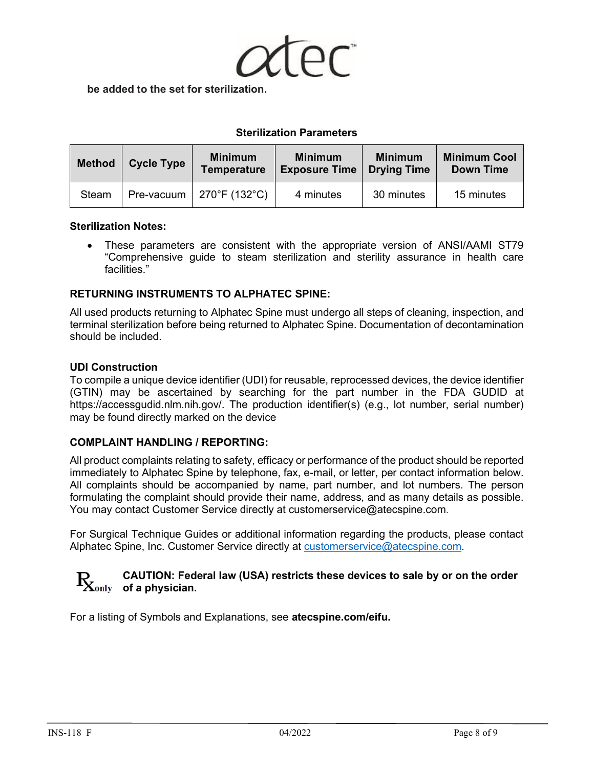

**be added to the set for sterilization.**

# **Sterilization Parameters**

| <b>Method</b> | <b>Cycle Type</b> | <b>Minimum</b><br><b>Temperature</b> | <b>Minimum</b><br><b>Exposure Time</b> | <b>Minimum</b><br><b>Drying Time</b> | <b>Minimum Cool</b><br><b>Down Time</b> |
|---------------|-------------------|--------------------------------------|----------------------------------------|--------------------------------------|-----------------------------------------|
| Steam         | Pre-vacuum        | $270^{\circ}$ F (132 $^{\circ}$ C)   | 4 minutes                              | 30 minutes                           | 15 minutes                              |

## **Sterilization Notes:**

• These parameters are consistent with the appropriate version of ANSI/AAMI ST79 "Comprehensive guide to steam sterilization and sterility assurance in health care facilities."

# **RETURNING INSTRUMENTS TO ALPHATEC SPINE:**

All used products returning to Alphatec Spine must undergo all steps of cleaning, inspection, and terminal sterilization before being returned to Alphatec Spine. Documentation of decontamination should be included.

## **UDI Construction**

To compile a unique device identifier (UDI) for reusable, reprocessed devices, the device identifier (GTIN) may be ascertained by searching for the part number in the FDA GUDID at https://accessgudid.nlm.nih.gov/. The production identifier(s) (e.g., lot number, serial number) may be found directly marked on the device

## **COMPLAINT HANDLING / REPORTING:**

All product complaints relating to safety, efficacy or performance of the product should be reported immediately to Alphatec Spine by telephone, fax, e-mail, or letter, per contact information below. All complaints should be accompanied by name, part number, and lot numbers. The person formulating the complaint should provide their name, address, and as many details as possible. You may contact Customer Service directly at customerservice@atecspine.com.

For Surgical Technique Guides or additional information regarding the products, please contact Alphatec Spine, Inc. Customer Service directly at [customerservice@atecspine.com.](mailto:customerservice@atecspine.com)

# **CAUTION: Federal law (USA) restricts these devices to sale by or on the order**   $\mathbf{R}_{\text{only}}$  of a physician.

For a listing of Symbols and Explanations, see **atecspine.com/eifu.**